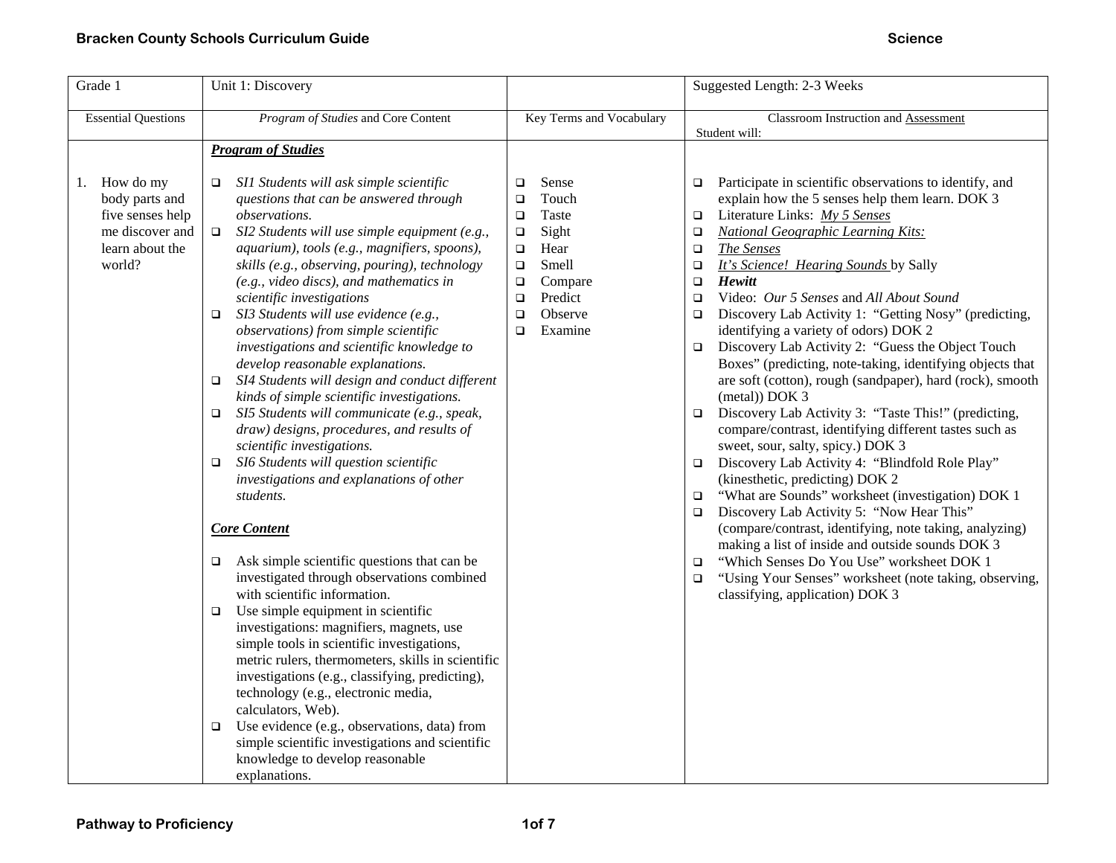| Grade 1                                                                                            | Unit 1: Discovery                                                                                                                                                                                                                                                                                                                                                                                                                                                                                                                                                                                                                                                                                                                                                                                                                                                                                                                                                                                                                                                                                                                                                                                                                                                                                                                                                                                                                                                                                                                |                                                                                                                                                                                                   | Suggested Length: 2-3 Weeks                                                                                                                                                                                                                                                                                                                                                                                                                                                                                                                                                                                                                                                                                                                                                                                                                                                                                                                                                                                                                                                                                                                                                                                                                                                                                                                                          |  |
|----------------------------------------------------------------------------------------------------|----------------------------------------------------------------------------------------------------------------------------------------------------------------------------------------------------------------------------------------------------------------------------------------------------------------------------------------------------------------------------------------------------------------------------------------------------------------------------------------------------------------------------------------------------------------------------------------------------------------------------------------------------------------------------------------------------------------------------------------------------------------------------------------------------------------------------------------------------------------------------------------------------------------------------------------------------------------------------------------------------------------------------------------------------------------------------------------------------------------------------------------------------------------------------------------------------------------------------------------------------------------------------------------------------------------------------------------------------------------------------------------------------------------------------------------------------------------------------------------------------------------------------------|---------------------------------------------------------------------------------------------------------------------------------------------------------------------------------------------------|----------------------------------------------------------------------------------------------------------------------------------------------------------------------------------------------------------------------------------------------------------------------------------------------------------------------------------------------------------------------------------------------------------------------------------------------------------------------------------------------------------------------------------------------------------------------------------------------------------------------------------------------------------------------------------------------------------------------------------------------------------------------------------------------------------------------------------------------------------------------------------------------------------------------------------------------------------------------------------------------------------------------------------------------------------------------------------------------------------------------------------------------------------------------------------------------------------------------------------------------------------------------------------------------------------------------------------------------------------------------|--|
| <b>Essential Questions</b>                                                                         | Program of Studies and Core Content                                                                                                                                                                                                                                                                                                                                                                                                                                                                                                                                                                                                                                                                                                                                                                                                                                                                                                                                                                                                                                                                                                                                                                                                                                                                                                                                                                                                                                                                                              | Key Terms and Vocabulary                                                                                                                                                                          | Classroom Instruction and Assessment<br>Student will:                                                                                                                                                                                                                                                                                                                                                                                                                                                                                                                                                                                                                                                                                                                                                                                                                                                                                                                                                                                                                                                                                                                                                                                                                                                                                                                |  |
|                                                                                                    | <b>Program of Studies</b>                                                                                                                                                                                                                                                                                                                                                                                                                                                                                                                                                                                                                                                                                                                                                                                                                                                                                                                                                                                                                                                                                                                                                                                                                                                                                                                                                                                                                                                                                                        |                                                                                                                                                                                                   |                                                                                                                                                                                                                                                                                                                                                                                                                                                                                                                                                                                                                                                                                                                                                                                                                                                                                                                                                                                                                                                                                                                                                                                                                                                                                                                                                                      |  |
| 1. How do my<br>body parts and<br>five senses help<br>me discover and<br>learn about the<br>world? | SI1 Students will ask simple scientific<br>$\Box$<br>questions that can be answered through<br>observations.<br>SI2 Students will use simple equipment (e.g.,<br>$\Box$<br>aquarium), tools (e.g., magnifiers, spoons),<br>skills (e.g., observing, pouring), technology<br>(e.g., video discs), and mathematics in<br>scientific investigations<br>SI3 Students will use evidence (e.g.,<br>$\Box$<br>observations) from simple scientific<br>investigations and scientific knowledge to<br>develop reasonable explanations.<br>SI4 Students will design and conduct different<br>$\Box$<br>kinds of simple scientific investigations.<br>SI5 Students will communicate (e.g., speak,<br>$\Box$<br>draw) designs, procedures, and results of<br>scientific investigations.<br>SI6 Students will question scientific<br>$\Box$<br>investigations and explanations of other<br>students.<br><b>Core Content</b><br>Ask simple scientific questions that can be<br>$\Box$<br>investigated through observations combined<br>with scientific information.<br>Use simple equipment in scientific<br>$\Box$<br>investigations: magnifiers, magnets, use<br>simple tools in scientific investigations,<br>metric rulers, thermometers, skills in scientific<br>investigations (e.g., classifying, predicting),<br>technology (e.g., electronic media,<br>calculators, Web).<br>Use evidence (e.g., observations, data) from<br>❏<br>simple scientific investigations and scientific<br>knowledge to develop reasonable<br>explanations. | Sense<br>$\Box$<br>Touch<br>$\Box$<br>Taste<br>$\Box$<br>Sight<br>$\Box$<br>Hear<br>$\Box$<br>Smell<br>$\Box$<br>$\Box$<br>Compare<br>Predict<br>$\Box$<br>Observe<br>$\Box$<br>Examine<br>$\Box$ | Participate in scientific observations to identify, and<br>$\Box$<br>explain how the 5 senses help them learn. DOK 3<br>Literature Links: My 5 Senses<br>$\Box$<br><b>National Geographic Learning Kits:</b><br>$\Box$<br>The Senses<br>$\Box$<br>It's Science! Hearing Sounds by Sally<br>$\Box$<br>$\Box$<br>Hewitt<br>Video: Our 5 Senses and All About Sound<br>$\Box$<br>Discovery Lab Activity 1: "Getting Nosy" (predicting,<br>$\Box$<br>identifying a variety of odors) DOK 2<br>Discovery Lab Activity 2: "Guess the Object Touch<br>$\Box$<br>Boxes" (predicting, note-taking, identifying objects that<br>are soft (cotton), rough (sandpaper), hard (rock), smooth<br>(metal) DOK 3<br>Discovery Lab Activity 3: "Taste This!" (predicting,<br>$\Box$<br>compare/contrast, identifying different tastes such as<br>sweet, sour, salty, spicy.) DOK 3<br>Discovery Lab Activity 4: "Blindfold Role Play"<br>$\Box$<br>(kinesthetic, predicting) DOK 2<br>"What are Sounds" worksheet (investigation) DOK 1<br>$\Box$<br>Discovery Lab Activity 5: "Now Hear This"<br>$\Box$<br>(compare/contrast, identifying, note taking, analyzing)<br>making a list of inside and outside sounds DOK 3<br>"Which Senses Do You Use" worksheet DOK 1<br>$\Box$<br>"Using Your Senses" worksheet (note taking, observing,<br>$\Box$<br>classifying, application) DOK 3 |  |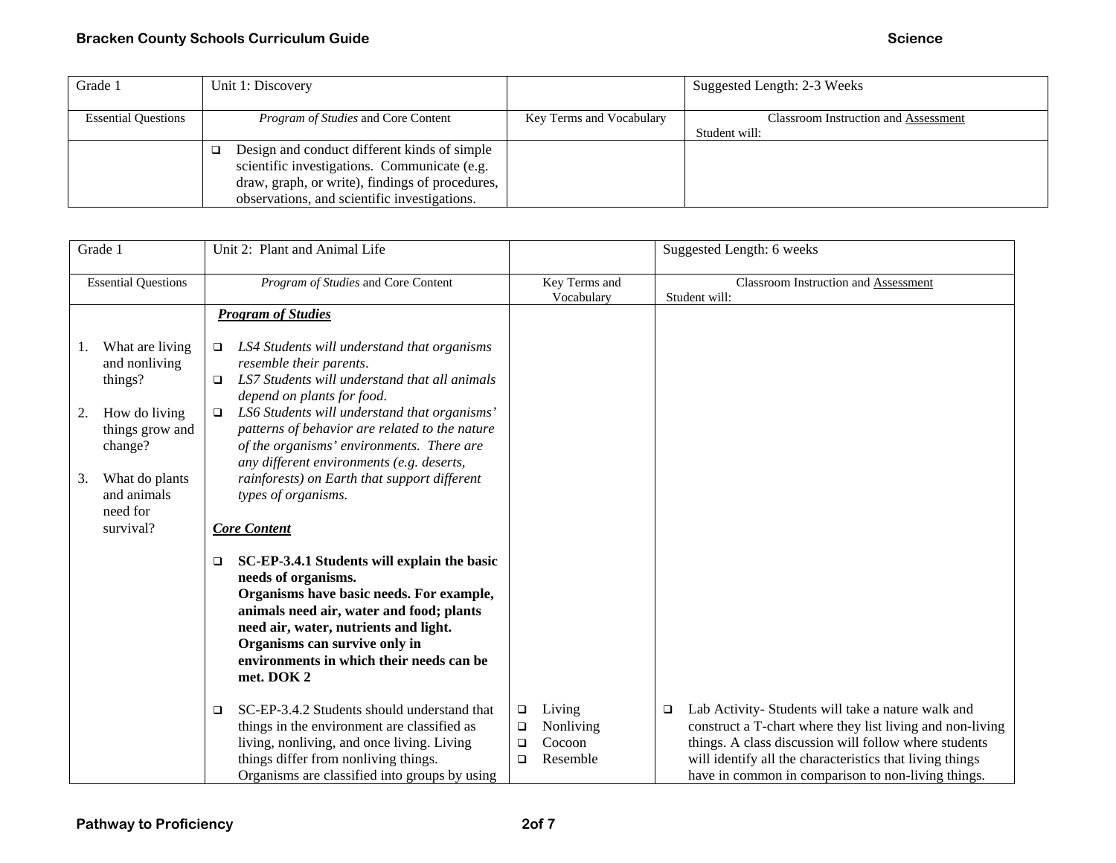| Grade 1                    | Unit 1: Discovery                               |                          | Suggested Length: 2-3 Weeks                 |
|----------------------------|-------------------------------------------------|--------------------------|---------------------------------------------|
|                            |                                                 |                          |                                             |
| <b>Essential Questions</b> | <i>Program of Studies</i> and Core Content      | Key Terms and Vocabulary | <b>Classroom Instruction and Assessment</b> |
|                            |                                                 |                          | Student will:                               |
|                            | Design and conduct different kinds of simple    |                          |                                             |
|                            | scientific investigations. Communicate (e.g.    |                          |                                             |
|                            | draw, graph, or write), findings of procedures, |                          |                                             |
|                            | observations, and scientific investigations.    |                          |                                             |

| Grade 1                    |                                             | Unit 2: Plant and Animal Life                                                                                                                                                                                                                                                                            | Suggested Length: 6 weeks |                                           |                                                       |                                                                                                                                                                                                                                                                                            |
|----------------------------|---------------------------------------------|----------------------------------------------------------------------------------------------------------------------------------------------------------------------------------------------------------------------------------------------------------------------------------------------------------|---------------------------|-------------------------------------------|-------------------------------------------------------|--------------------------------------------------------------------------------------------------------------------------------------------------------------------------------------------------------------------------------------------------------------------------------------------|
| <b>Essential Questions</b> |                                             | Program of Studies and Core Content                                                                                                                                                                                                                                                                      |                           | Key Terms and<br>Vocabulary               | Classroom Instruction and Assessment<br>Student will: |                                                                                                                                                                                                                                                                                            |
|                            |                                             | <b>Program of Studies</b>                                                                                                                                                                                                                                                                                |                           |                                           |                                                       |                                                                                                                                                                                                                                                                                            |
| 1.                         | What are living<br>and nonliving<br>things? | LS4 Students will understand that organisms<br>$\Box$<br>resemble their parents.<br>LS7 Students will understand that all animals<br>□<br>depend on plants for food.                                                                                                                                     |                           |                                           |                                                       |                                                                                                                                                                                                                                                                                            |
| 2.                         | How do living<br>things grow and<br>change? | LS6 Students will understand that organisms'<br>□<br>patterns of behavior are related to the nature<br>of the organisms' environments. There are<br>any different environments (e.g. deserts,                                                                                                            |                           |                                           |                                                       |                                                                                                                                                                                                                                                                                            |
| 3.                         | What do plants<br>and animals<br>need for   | rainforests) on Earth that support different<br>types of organisms.                                                                                                                                                                                                                                      |                           |                                           |                                                       |                                                                                                                                                                                                                                                                                            |
|                            | survival?                                   | <b>Core Content</b>                                                                                                                                                                                                                                                                                      |                           |                                           |                                                       |                                                                                                                                                                                                                                                                                            |
|                            |                                             | SC-EP-3.4.1 Students will explain the basic<br>$\Box$<br>needs of organisms.<br>Organisms have basic needs. For example,<br>animals need air, water and food; plants<br>need air, water, nutrients and light.<br>Organisms can survive only in<br>environments in which their needs can be<br>met. DOK 2 |                           |                                           |                                                       |                                                                                                                                                                                                                                                                                            |
|                            |                                             | SC-EP-3.4.2 Students should understand that<br>$\Box$<br>things in the environment are classified as<br>living, nonliving, and once living. Living<br>things differ from nonliving things.<br>Organisms are classified into groups by using                                                              | o<br>□<br>□<br>$\Box$     | Living<br>Nonliving<br>Cocoon<br>Resemble | $\Box$                                                | Lab Activity- Students will take a nature walk and<br>construct a T-chart where they list living and non-living<br>things. A class discussion will follow where students<br>will identify all the characteristics that living things<br>have in common in comparison to non-living things. |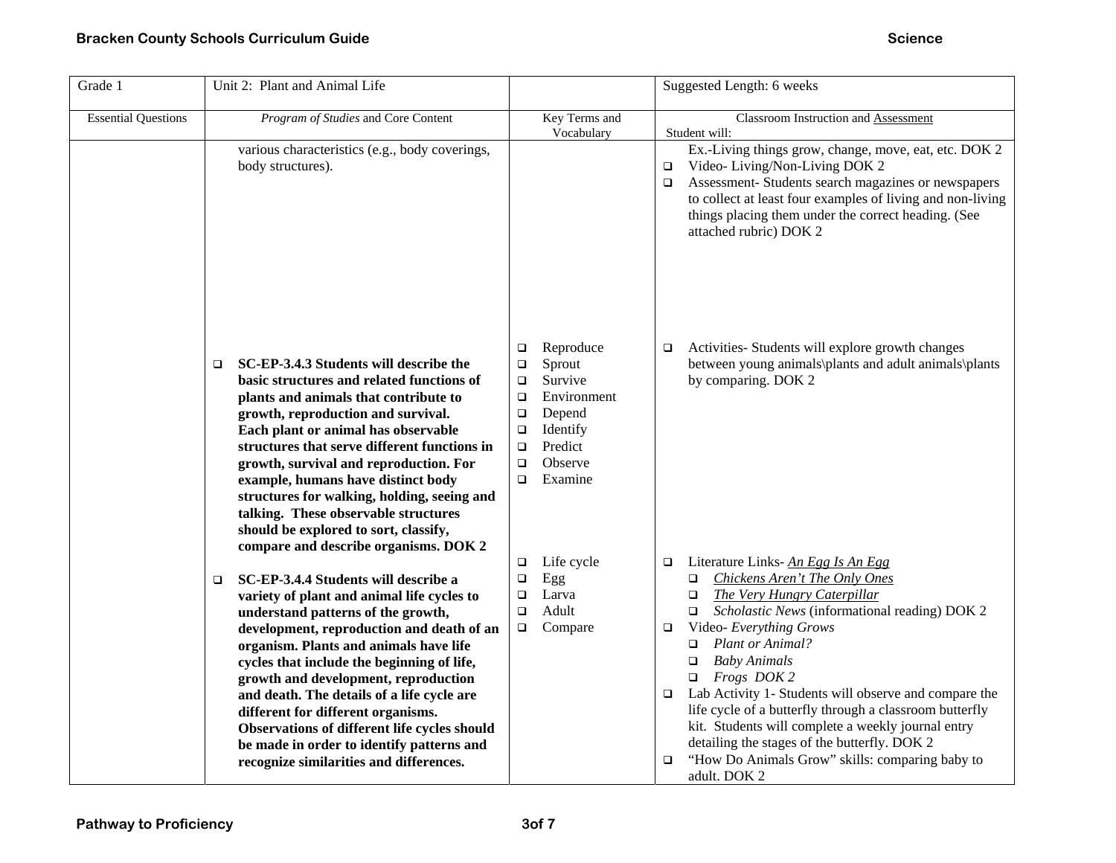| Grade 1                    | Unit 2: Plant and Animal Life                                                                                                                                                                                                                                                                                                                                                                                                                                                                                                             |                                                                                                                                                                                                | Suggested Length: 6 weeks                                                                                                                                                                                                                                                                                                                                                                                                                                                                                                       |
|----------------------------|-------------------------------------------------------------------------------------------------------------------------------------------------------------------------------------------------------------------------------------------------------------------------------------------------------------------------------------------------------------------------------------------------------------------------------------------------------------------------------------------------------------------------------------------|------------------------------------------------------------------------------------------------------------------------------------------------------------------------------------------------|---------------------------------------------------------------------------------------------------------------------------------------------------------------------------------------------------------------------------------------------------------------------------------------------------------------------------------------------------------------------------------------------------------------------------------------------------------------------------------------------------------------------------------|
| <b>Essential Questions</b> | Program of Studies and Core Content                                                                                                                                                                                                                                                                                                                                                                                                                                                                                                       | Key Terms and<br>Vocabulary                                                                                                                                                                    | Classroom Instruction and Assessment<br>Student will:                                                                                                                                                                                                                                                                                                                                                                                                                                                                           |
|                            | various characteristics (e.g., body coverings,<br>body structures).                                                                                                                                                                                                                                                                                                                                                                                                                                                                       |                                                                                                                                                                                                | Ex.-Living things grow, change, move, eat, etc. DOK 2<br>Video-Living/Non-Living DOK 2<br>о<br>Assessment- Students search magazines or newspapers<br>□<br>to collect at least four examples of living and non-living<br>things placing them under the correct heading. (See<br>attached rubric) DOK 2                                                                                                                                                                                                                          |
|                            | SC-EP-3.4.3 Students will describe the<br>$\Box$<br>basic structures and related functions of<br>plants and animals that contribute to<br>growth, reproduction and survival.<br>Each plant or animal has observable<br>structures that serve different functions in<br>growth, survival and reproduction. For<br>example, humans have distinct body<br>structures for walking, holding, seeing and<br>talking. These observable structures<br>should be explored to sort, classify,                                                       | Reproduce<br>$\Box$<br>Sprout<br>$\Box$<br>Survive<br>$\Box$<br>Environment<br>$\Box$<br>Depend<br>$\Box$<br>Identify<br>$\Box$<br>Predict<br>$\Box$<br>Observe<br>$\Box$<br>Examine<br>$\Box$ | Activities- Students will explore growth changes<br>□<br>between young animals\plants and adult animals\plants<br>by comparing. DOK 2                                                                                                                                                                                                                                                                                                                                                                                           |
|                            | compare and describe organisms. DOK 2<br>SC-EP-3.4.4 Students will describe a<br>$\Box$<br>variety of plant and animal life cycles to<br>understand patterns of the growth,<br>development, reproduction and death of an<br>organism. Plants and animals have life<br>cycles that include the beginning of life,<br>growth and development, reproduction<br>and death. The details of a life cycle are<br>different for different organisms.<br>Observations of different life cycles should<br>be made in order to identify patterns and | Life cycle<br>$\Box$<br>$\Box$<br>Egg<br>Larva<br>$\Box$<br>Adult<br>$\Box$<br>Compare<br>$\Box$                                                                                               | Literature Links-An Egg Is An Egg<br>□<br>Chickens Aren't The Only Ones<br>$\Box$<br>The Very Hungry Caterpillar<br>$\Box$<br>Scholastic News (informational reading) DOK 2<br>$\Box$<br>Video- Everything Grows<br>□<br>Plant or Animal?<br>o<br><b>Baby Animals</b><br>□<br>$\Box$ Frogs DOK 2<br>Lab Activity 1- Students will observe and compare the<br>o<br>life cycle of a butterfly through a classroom butterfly<br>kit. Students will complete a weekly journal entry<br>detailing the stages of the butterfly. DOK 2 |
|                            | recognize similarities and differences.                                                                                                                                                                                                                                                                                                                                                                                                                                                                                                   |                                                                                                                                                                                                | "How Do Animals Grow" skills: comparing baby to<br>adult. DOK 2                                                                                                                                                                                                                                                                                                                                                                                                                                                                 |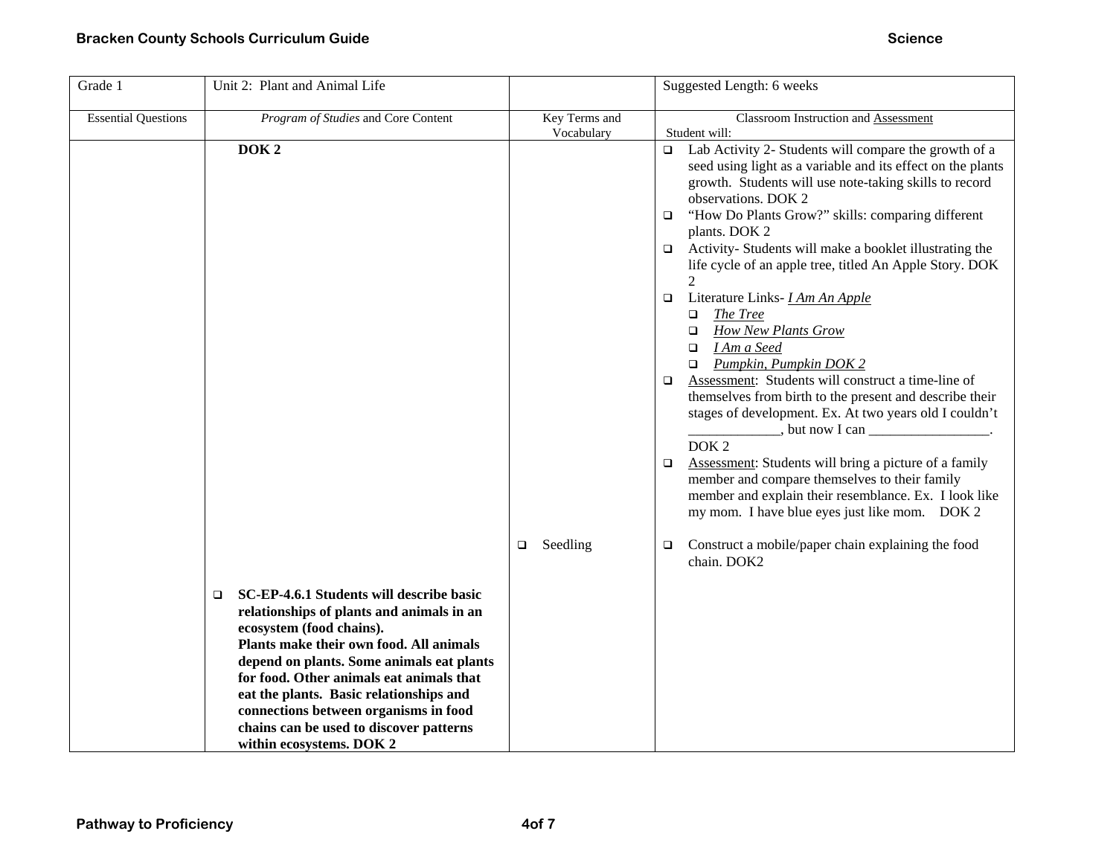| Grade 1                    | Unit 2: Plant and Animal Life                                                                                                                                                                                                                                                                                                                                                                                         |                             | Suggested Length: 6 weeks                                                                                                                                                                                                                                                                                                                                                                                                                                                                                                                                                                                                                                                                                                                                                                                                                                                                                                                                                                                                                                         |
|----------------------------|-----------------------------------------------------------------------------------------------------------------------------------------------------------------------------------------------------------------------------------------------------------------------------------------------------------------------------------------------------------------------------------------------------------------------|-----------------------------|-------------------------------------------------------------------------------------------------------------------------------------------------------------------------------------------------------------------------------------------------------------------------------------------------------------------------------------------------------------------------------------------------------------------------------------------------------------------------------------------------------------------------------------------------------------------------------------------------------------------------------------------------------------------------------------------------------------------------------------------------------------------------------------------------------------------------------------------------------------------------------------------------------------------------------------------------------------------------------------------------------------------------------------------------------------------|
| <b>Essential Questions</b> | Program of Studies and Core Content                                                                                                                                                                                                                                                                                                                                                                                   | Key Terms and<br>Vocabulary | Classroom Instruction and Assessment<br>Student will:                                                                                                                                                                                                                                                                                                                                                                                                                                                                                                                                                                                                                                                                                                                                                                                                                                                                                                                                                                                                             |
|                            | DOK <sub>2</sub>                                                                                                                                                                                                                                                                                                                                                                                                      |                             | Lab Activity 2- Students will compare the growth of a<br>$\Box$<br>seed using light as a variable and its effect on the plants<br>growth. Students will use note-taking skills to record<br>observations. DOK 2<br>"How Do Plants Grow?" skills: comparing different<br>□<br>plants. DOK 2<br>Activity-Students will make a booklet illustrating the<br>□<br>life cycle of an apple tree, titled An Apple Story. DOK<br>2<br>Literature Links- <i>I Am An Apple</i><br>□<br>The Tree<br>□<br><b>How New Plants Grow</b><br>□<br>I Am a Seed<br>□<br>Pumpkin, Pumpkin DOK 2<br>$\Box$<br>Assessment: Students will construct a time-line of<br>o.<br>themselves from birth to the present and describe their<br>stages of development. Ex. At two years old I couldn't<br>$\frac{1}{2}$ , but now I can $\frac{1}{2}$<br>DOK <sub>2</sub><br>Assessment: Students will bring a picture of a family<br>□<br>member and compare themselves to their family<br>member and explain their resemblance. Ex. I look like<br>my mom. I have blue eyes just like mom. DOK 2 |
|                            |                                                                                                                                                                                                                                                                                                                                                                                                                       | Seedling<br>$\Box$          | Construct a mobile/paper chain explaining the food<br>⊔<br>chain. DOK2                                                                                                                                                                                                                                                                                                                                                                                                                                                                                                                                                                                                                                                                                                                                                                                                                                                                                                                                                                                            |
|                            | SC-EP-4.6.1 Students will describe basic<br>□<br>relationships of plants and animals in an<br>ecosystem (food chains).<br>Plants make their own food. All animals<br>depend on plants. Some animals eat plants<br>for food. Other animals eat animals that<br>eat the plants. Basic relationships and<br>connections between organisms in food<br>chains can be used to discover patterns<br>within ecosystems. DOK 2 |                             |                                                                                                                                                                                                                                                                                                                                                                                                                                                                                                                                                                                                                                                                                                                                                                                                                                                                                                                                                                                                                                                                   |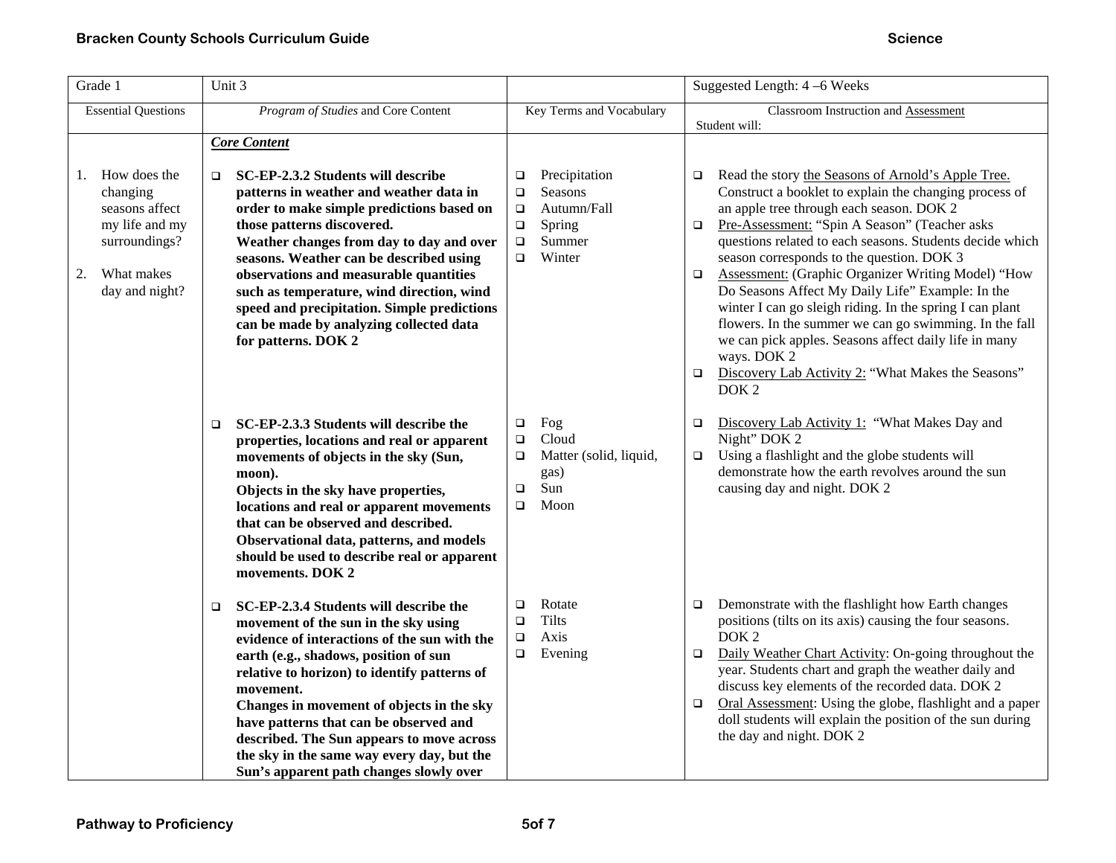| Grade 1                                                                                                                   | Unit 3                                                                                                                                                                                                                                                                                                                                                                                                                                                                              |                                                                                                                                     | Suggested Length: 4 –6 Weeks                                                                                                                                                                                                                                                                                                                                                                                                                                                                                                                                                                                                                                                                                                                        |
|---------------------------------------------------------------------------------------------------------------------------|-------------------------------------------------------------------------------------------------------------------------------------------------------------------------------------------------------------------------------------------------------------------------------------------------------------------------------------------------------------------------------------------------------------------------------------------------------------------------------------|-------------------------------------------------------------------------------------------------------------------------------------|-----------------------------------------------------------------------------------------------------------------------------------------------------------------------------------------------------------------------------------------------------------------------------------------------------------------------------------------------------------------------------------------------------------------------------------------------------------------------------------------------------------------------------------------------------------------------------------------------------------------------------------------------------------------------------------------------------------------------------------------------------|
| <b>Essential Questions</b>                                                                                                | Program of Studies and Core Content                                                                                                                                                                                                                                                                                                                                                                                                                                                 | Key Terms and Vocabulary                                                                                                            | Classroom Instruction and Assessment<br>Student will:                                                                                                                                                                                                                                                                                                                                                                                                                                                                                                                                                                                                                                                                                               |
| How does the<br>1.<br>changing<br>seasons affect<br>my life and my<br>surroundings?<br>What makes<br>2.<br>day and night? | <b>Core Content</b><br>SC-EP-2.3.2 Students will describe<br>□<br>patterns in weather and weather data in<br>order to make simple predictions based on<br>those patterns discovered.<br>Weather changes from day to day and over<br>seasons. Weather can be described using<br>observations and measurable quantities<br>such as temperature, wind direction, wind<br>speed and precipitation. Simple predictions<br>can be made by analyzing collected data<br>for patterns. DOK 2 | Precipitation<br>□<br><b>Seasons</b><br>$\Box$<br>Autumn/Fall<br>$\Box$<br>Spring<br>$\Box$<br>Summer<br>$\Box$<br>Winter<br>$\Box$ | Read the story the Seasons of Arnold's Apple Tree.<br>$\Box$<br>Construct a booklet to explain the changing process of<br>an apple tree through each season. DOK 2<br>Pre-Assessment: "Spin A Season" (Teacher asks<br>$\Box$<br>questions related to each seasons. Students decide which<br>season corresponds to the question. DOK 3<br><b>Assessment:</b> (Graphic Organizer Writing Model) "How<br>$\Box$<br>Do Seasons Affect My Daily Life" Example: In the<br>winter I can go sleigh riding. In the spring I can plant<br>flowers. In the summer we can go swimming. In the fall<br>we can pick apples. Seasons affect daily life in many<br>ways. DOK 2<br>Discovery Lab Activity 2: "What Makes the Seasons"<br>$\Box$<br>DOK <sub>2</sub> |
|                                                                                                                           | SC-EP-2.3.3 Students will describe the<br>$\Box$<br>properties, locations and real or apparent<br>movements of objects in the sky (Sun,<br>moon).<br>Objects in the sky have properties,<br>locations and real or apparent movements<br>that can be observed and described.<br>Observational data, patterns, and models<br>should be used to describe real or apparent<br>movements. DOK 2                                                                                          | Fog<br>$\Box$<br>Cloud<br>$\Box$<br>Matter (solid, liquid,<br>□<br>gas)<br>Sun<br>$\Box$<br>Moon<br>$\Box$                          | Discovery Lab Activity 1: "What Makes Day and<br>$\Box$<br>Night" DOK 2<br>Using a flashlight and the globe students will<br>$\Box$<br>demonstrate how the earth revolves around the sun<br>causing day and night. DOK 2                                                                                                                                                                                                                                                                                                                                                                                                                                                                                                                            |
|                                                                                                                           | SC-EP-2.3.4 Students will describe the<br>$\Box$<br>movement of the sun in the sky using<br>evidence of interactions of the sun with the<br>earth (e.g., shadows, position of sun<br>relative to horizon) to identify patterns of<br>movement.<br>Changes in movement of objects in the sky<br>have patterns that can be observed and<br>described. The Sun appears to move across<br>the sky in the same way every day, but the<br>Sun's apparent path changes slowly over         | Rotate<br>□<br><b>Tilts</b><br>$\Box$<br>Axis<br>$\Box$<br>Evening<br>o.                                                            | Demonstrate with the flashlight how Earth changes<br>$\Box$<br>positions (tilts on its axis) causing the four seasons.<br>DOK <sub>2</sub><br>Daily Weather Chart Activity: On-going throughout the<br>$\Box$<br>year. Students chart and graph the weather daily and<br>discuss key elements of the recorded data. DOK 2<br>Oral Assessment: Using the globe, flashlight and a paper<br>$\Box$<br>doll students will explain the position of the sun during<br>the day and night. DOK 2                                                                                                                                                                                                                                                            |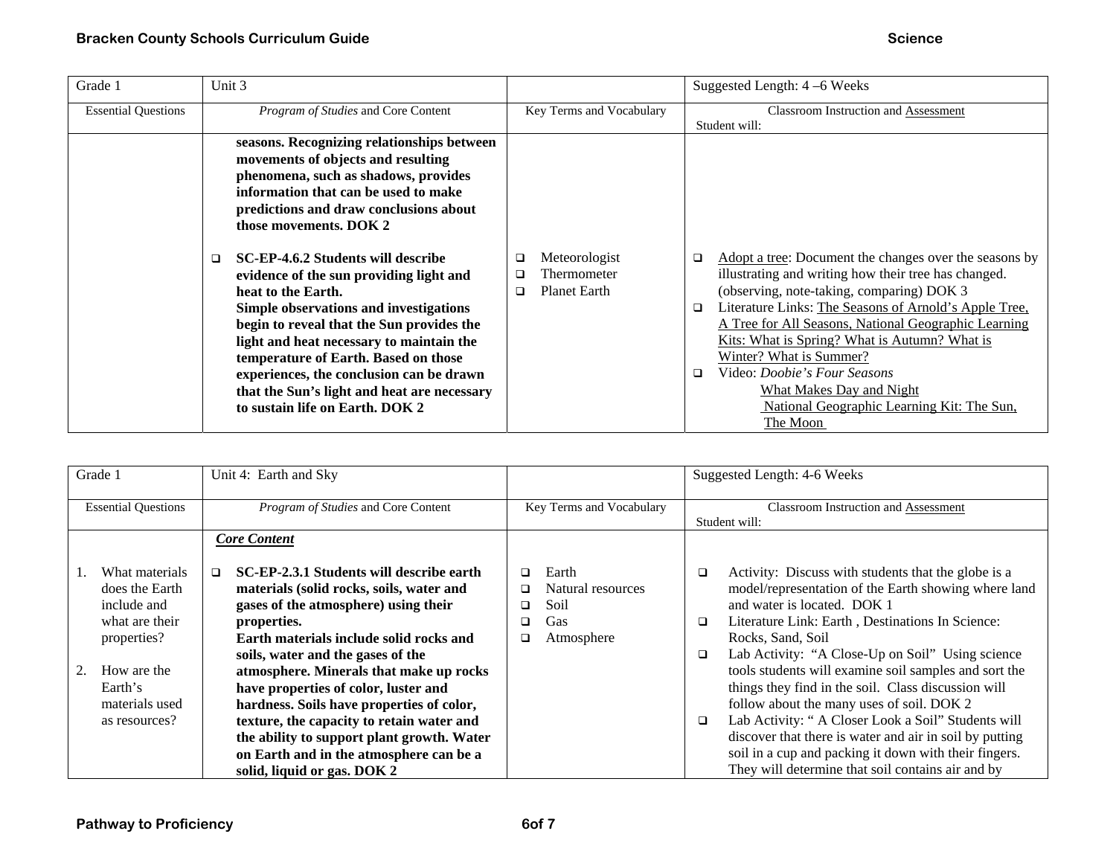| Grade 1                    | Unit 3                                                                                                                                                                                                                                                                                                                                                                                                                                                                                                                                                                                                                                                    |                                                               | Suggested Length: 4 –6 Weeks                                                                                                                                                                                                                                                                                                                                                                                                                                                                                   |
|----------------------------|-----------------------------------------------------------------------------------------------------------------------------------------------------------------------------------------------------------------------------------------------------------------------------------------------------------------------------------------------------------------------------------------------------------------------------------------------------------------------------------------------------------------------------------------------------------------------------------------------------------------------------------------------------------|---------------------------------------------------------------|----------------------------------------------------------------------------------------------------------------------------------------------------------------------------------------------------------------------------------------------------------------------------------------------------------------------------------------------------------------------------------------------------------------------------------------------------------------------------------------------------------------|
| <b>Essential Questions</b> | Program of Studies and Core Content                                                                                                                                                                                                                                                                                                                                                                                                                                                                                                                                                                                                                       | Key Terms and Vocabulary                                      | <b>Classroom Instruction and Assessment</b><br>Student will:                                                                                                                                                                                                                                                                                                                                                                                                                                                   |
|                            | seasons. Recognizing relationships between<br>movements of objects and resulting<br>phenomena, such as shadows, provides<br>information that can be used to make<br>predictions and draw conclusions about<br>those movements. DOK 2<br>SC-EP-4.6.2 Students will describe<br>□<br>evidence of the sun providing light and<br>heat to the Earth.<br>Simple observations and investigations<br>begin to reveal that the Sun provides the<br>light and heat necessary to maintain the<br>temperature of Earth. Based on those<br>experiences, the conclusion can be drawn<br>that the Sun's light and heat are necessary<br>to sustain life on Earth. DOK 2 | Meteorologist<br>Thermometer<br>□<br><b>Planet Earth</b><br>◻ | Adopt a tree: Document the changes over the seasons by<br>□<br>illustrating and writing how their tree has changed.<br>(observing, note-taking, comparing) DOK 3<br>Literature Links: The Seasons of Arnold's Apple Tree,<br>$\Box$<br>A Tree for All Seasons, National Geographic Learning<br>Kits: What is Spring? What is Autumn? What is<br>Winter? What is Summer?<br>Video: <i>Doobie's Four Seasons</i><br>$\Box$<br>What Makes Day and Night<br>National Geographic Learning Kit: The Sun,<br>The Moon |

|                            | Grade 1        | Unit 4: Earth and Sky                              |                          |                   |               | Suggested Length: 4-6 Weeks                             |
|----------------------------|----------------|----------------------------------------------------|--------------------------|-------------------|---------------|---------------------------------------------------------|
| <b>Essential Questions</b> |                | Program of Studies and Core Content                | Key Terms and Vocabulary |                   |               | <b>Classroom Instruction and Assessment</b>             |
|                            |                |                                                    |                          |                   | Student will: |                                                         |
|                            |                | <b>Core Content</b>                                |                          |                   |               |                                                         |
|                            |                |                                                    |                          |                   |               |                                                         |
|                            | What materials | SC-EP-2.3.1 Students will describe earth<br>$\Box$ | $\Box$                   | Earth             | $\Box$        | Activity: Discuss with students that the globe is a     |
|                            | does the Earth | materials (solid rocks, soils, water and           | □                        | Natural resources |               | model/representation of the Earth showing where land    |
|                            | include and    | gases of the atmosphere) using their               | □                        | Soil              |               | and water is located. DOK 1                             |
|                            | what are their | properties.                                        | □                        | Gas               | $\Box$        | Literature Link: Earth, Destinations In Science:        |
|                            | properties?    | Earth materials include solid rocks and            | □                        | Atmosphere        |               | Rocks, Sand, Soil                                       |
|                            |                | soils, water and the gases of the                  |                          |                   | $\Box$        | Lab Activity: "A Close-Up on Soil" Using science        |
|                            | How are the    | atmosphere. Minerals that make up rocks            |                          |                   |               | tools students will examine soil samples and sort the   |
|                            | Earth's        | have properties of color, luster and               |                          |                   |               | things they find in the soil. Class discussion will     |
|                            | materials used | hardness. Soils have properties of color,          |                          |                   |               | follow about the many uses of soil. DOK 2               |
|                            | as resources?  | texture, the capacity to retain water and          |                          |                   | $\Box$        | Lab Activity: "A Closer Look a Soil" Students will      |
|                            |                | the ability to support plant growth. Water         |                          |                   |               | discover that there is water and air in soil by putting |
|                            |                | on Earth and in the atmosphere can be a            |                          |                   |               | soil in a cup and packing it down with their fingers.   |
|                            |                | solid, liquid or gas. DOK 2                        |                          |                   |               | They will determine that soil contains air and by       |